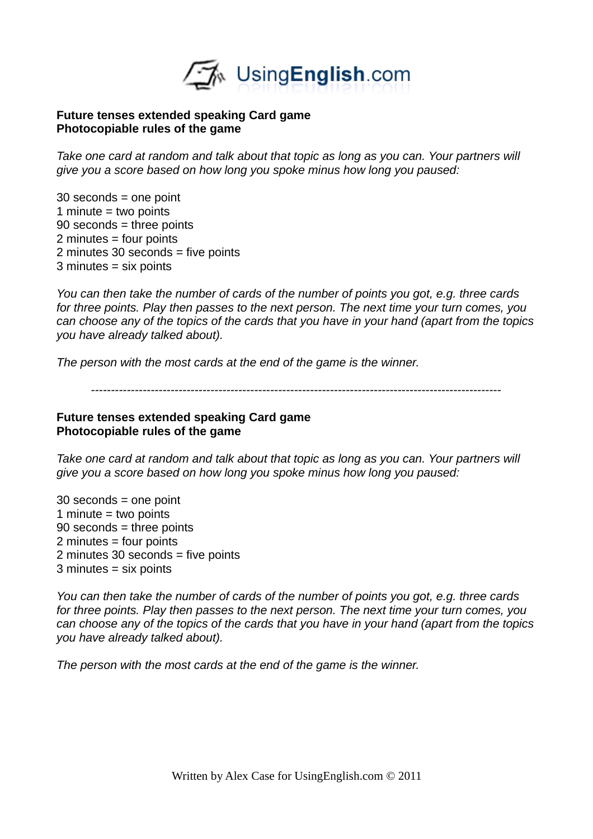

## **Future tenses extended speaking Card game Photocopiable rules of the game**

*Take one card at random and talk about that topic as long as you can. Your partners will give you a score based on how long you spoke minus how long you paused:*

30 seconds = one point 1 minute  $=$  two points 90 seconds = three points 2 minutes = four points 2 minutes 30 seconds = five points 3 minutes = six points

*You can then take the number of cards of the number of points you got, e.g. three cards for three points. Play then passes to the next person. The next time your turn comes, you can choose any of the topics of the cards that you have in your hand (apart from the topics you have already talked about).* 

*The person with the most cards at the end of the game is the winner.*

*-------------------------------------------------------------------------------------------------------*

## **Future tenses extended speaking Card game Photocopiable rules of the game**

*Take one card at random and talk about that topic as long as you can. Your partners will give you a score based on how long you spoke minus how long you paused:*

30 seconds = one point 1 minute = two points 90 seconds = three points 2 minutes = four points 2 minutes 30 seconds = five points 3 minutes = six points

*You can then take the number of cards of the number of points you got, e.g. three cards for three points. Play then passes to the next person. The next time your turn comes, you can choose any of the topics of the cards that you have in your hand (apart from the topics you have already talked about).* 

*The person with the most cards at the end of the game is the winner.*